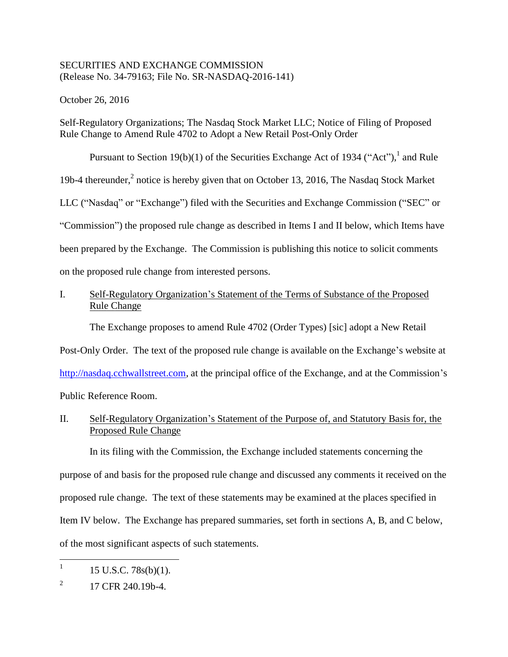## SECURITIES AND EXCHANGE COMMISSION (Release No. 34-79163; File No. SR-NASDAQ-2016-141)

October 26, 2016

Self-Regulatory Organizations; The Nasdaq Stock Market LLC; Notice of Filing of Proposed Rule Change to Amend Rule 4702 to Adopt a New Retail Post-Only Order

Pursuant to Section 19(b)(1) of the Securities Exchange Act of 1934 ("Act"),  $^1$  and Rule 19b-4 thereunder,<sup>2</sup> notice is hereby given that on October 13, 2016, The Nasdaq Stock Market LLC ("Nasdaq" or "Exchange") filed with the Securities and Exchange Commission ("SEC" or "Commission") the proposed rule change as described in Items I and II below, which Items have been prepared by the Exchange. The Commission is publishing this notice to solicit comments on the proposed rule change from interested persons.

# I. Self-Regulatory Organization's Statement of the Terms of Substance of the Proposed Rule Change

The Exchange proposes to amend Rule 4702 (Order Types) [sic] adopt a New Retail

Post-Only Order. The text of the proposed rule change is available on the Exchange's website at

http://nasdaq.cchwallstreet.com, at the principal office of the Exchange, and at the Commission's

Public Reference Room.

II. Self-Regulatory Organization's Statement of the Purpose of, and Statutory Basis for, the Proposed Rule Change

In its filing with the Commission, the Exchange included statements concerning the purpose of and basis for the proposed rule change and discussed any comments it received on the proposed rule change. The text of these statements may be examined at the places specified in Item IV below. The Exchange has prepared summaries, set forth in sections A, B, and C below, of the most significant aspects of such statements.

<sup>|&</sup>lt;br>|<br>| 15 U.S.C. 78s(b)(1).

<sup>2</sup> 17 CFR 240.19b-4.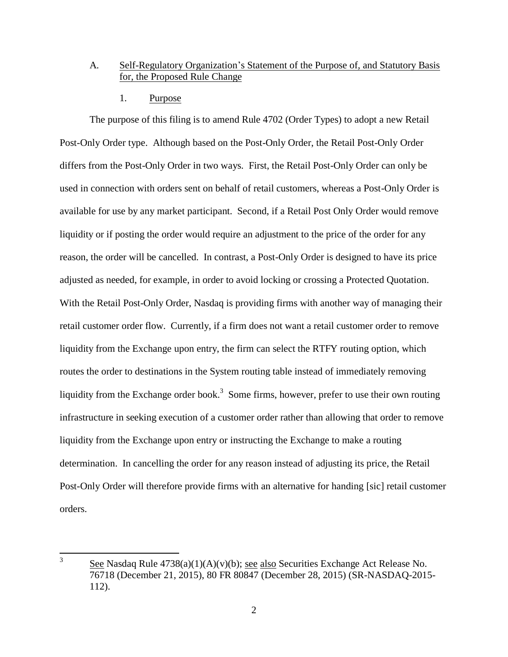## A. Self-Regulatory Organization's Statement of the Purpose of, and Statutory Basis for, the Proposed Rule Change

1. Purpose

The purpose of this filing is to amend Rule 4702 (Order Types) to adopt a new Retail Post-Only Order type. Although based on the Post-Only Order, the Retail Post-Only Order differs from the Post-Only Order in two ways. First, the Retail Post-Only Order can only be used in connection with orders sent on behalf of retail customers, whereas a Post-Only Order is available for use by any market participant. Second, if a Retail Post Only Order would remove liquidity or if posting the order would require an adjustment to the price of the order for any reason, the order will be cancelled. In contrast, a Post-Only Order is designed to have its price adjusted as needed, for example, in order to avoid locking or crossing a Protected Quotation. With the Retail Post-Only Order, Nasdaq is providing firms with another way of managing their retail customer order flow. Currently, if a firm does not want a retail customer order to remove liquidity from the Exchange upon entry, the firm can select the RTFY routing option, which routes the order to destinations in the System routing table instead of immediately removing liquidity from the Exchange order book.<sup>3</sup> Some firms, however, prefer to use their own routing infrastructure in seeking execution of a customer order rather than allowing that order to remove liquidity from the Exchange upon entry or instructing the Exchange to make a routing determination. In cancelling the order for any reason instead of adjusting its price, the Retail Post-Only Order will therefore provide firms with an alternative for handing [sic] retail customer orders.

 $\frac{1}{3}$ See Nasdaq Rule 4738(a)(1)(A)(v)(b); see also Securities Exchange Act Release No. 76718 (December 21, 2015), 80 FR 80847 (December 28, 2015) (SR-NASDAQ-2015- 112).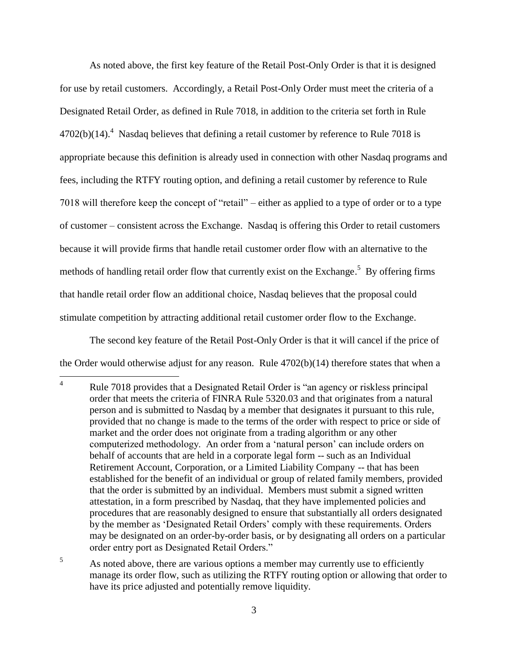As noted above, the first key feature of the Retail Post-Only Order is that it is designed for use by retail customers. Accordingly, a Retail Post-Only Order must meet the criteria of a Designated Retail Order, as defined in Rule 7018, in addition to the criteria set forth in Rule  $4702(b)(14).$ <sup>4</sup> Nasdaq believes that defining a retail customer by reference to Rule 7018 is appropriate because this definition is already used in connection with other Nasdaq programs and fees, including the RTFY routing option, and defining a retail customer by reference to Rule 7018 will therefore keep the concept of "retail" – either as applied to a type of order or to a type of customer – consistent across the Exchange. Nasdaq is offering this Order to retail customers because it will provide firms that handle retail customer order flow with an alternative to the methods of handling retail order flow that currently exist on the Exchange.<sup>5</sup> By offering firms that handle retail order flow an additional choice, Nasdaq believes that the proposal could stimulate competition by attracting additional retail customer order flow to the Exchange.

The second key feature of the Retail Post-Only Order is that it will cancel if the price of the Order would otherwise adjust for any reason. Rule 4702(b)(14) therefore states that when a

 $\overline{4}$ Rule 7018 provides that a Designated Retail Order is "an agency or riskless principal order that meets the criteria of FINRA Rule 5320.03 and that originates from a natural person and is submitted to Nasdaq by a member that designates it pursuant to this rule, provided that no change is made to the terms of the order with respect to price or side of market and the order does not originate from a trading algorithm or any other computerized methodology. An order from a 'natural person' can include orders on behalf of accounts that are held in a corporate legal form -- such as an Individual Retirement Account, Corporation, or a Limited Liability Company -- that has been established for the benefit of an individual or group of related family members, provided that the order is submitted by an individual. Members must submit a signed written attestation, in a form prescribed by Nasdaq, that they have implemented policies and procedures that are reasonably designed to ensure that substantially all orders designated by the member as 'Designated Retail Orders' comply with these requirements. Orders may be designated on an order-by-order basis, or by designating all orders on a particular order entry port as Designated Retail Orders."

<sup>&</sup>lt;sup>5</sup> As noted above, there are various options a member may currently use to efficiently manage its order flow, such as utilizing the RTFY routing option or allowing that order to have its price adjusted and potentially remove liquidity.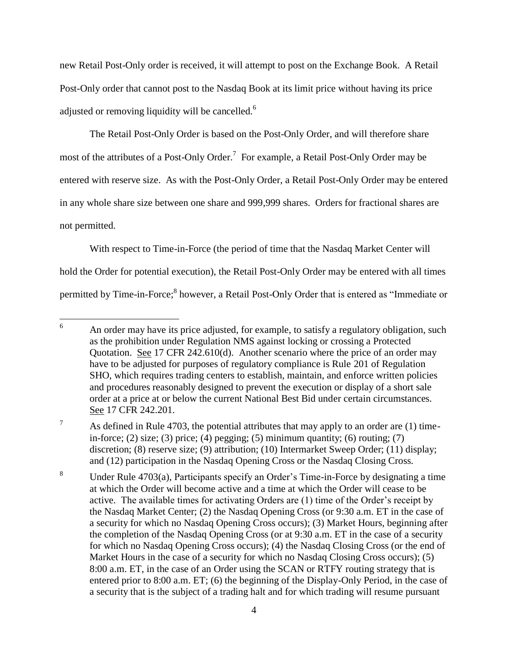new Retail Post-Only order is received, it will attempt to post on the Exchange Book. A Retail Post-Only order that cannot post to the Nasdaq Book at its limit price without having its price adjusted or removing liquidity will be cancelled.<sup>6</sup>

The Retail Post-Only Order is based on the Post-Only Order, and will therefore share most of the attributes of a Post-Only Order.<sup>7</sup> For example, a Retail Post-Only Order may be entered with reserve size. As with the Post-Only Order, a Retail Post-Only Order may be entered in any whole share size between one share and 999,999 shares. Orders for fractional shares are not permitted.

With respect to Time-in-Force (the period of time that the Nasdaq Market Center will hold the Order for potential execution), the Retail Post-Only Order may be entered with all times permitted by Time-in-Force;<sup>8</sup> however, a Retail Post-Only Order that is entered as "Immediate or

<sup>8</sup> Under Rule 4703(a), Participants specify an Order's Time-in-Force by designating a time at which the Order will become active and a time at which the Order will cease to be active. The available times for activating Orders are (1) time of the Order's receipt by the Nasdaq Market Center; (2) the Nasdaq Opening Cross (or 9:30 a.m. ET in the case of a security for which no Nasdaq Opening Cross occurs); (3) Market Hours, beginning after the completion of the Nasdaq Opening Cross (or at 9:30 a.m. ET in the case of a security for which no Nasdaq Opening Cross occurs); (4) the Nasdaq Closing Cross (or the end of Market Hours in the case of a security for which no Nasdaq Closing Cross occurs); (5) 8:00 a.m. ET, in the case of an Order using the SCAN or RTFY routing strategy that is entered prior to 8:00 a.m. ET; (6) the beginning of the Display-Only Period, in the case of a security that is the subject of a trading halt and for which trading will resume pursuant

<sup>6</sup> An order may have its price adjusted, for example, to satisfy a regulatory obligation, such as the prohibition under Regulation NMS against locking or crossing a Protected Quotation. See 17 CFR 242.610(d). Another scenario where the price of an order may have to be adjusted for purposes of regulatory compliance is Rule 201 of Regulation SHO, which requires trading centers to establish, maintain, and enforce written policies and procedures reasonably designed to prevent the execution or display of a short sale order at a price at or below the current National Best Bid under certain circumstances. See 17 CFR 242.201.

<sup>&</sup>lt;sup>7</sup> As defined in Rule 4703, the potential attributes that may apply to an order are (1) timein-force; (2) size; (3) price; (4) pegging; (5) minimum quantity; (6) routing; (7) discretion; (8) reserve size; (9) attribution; (10) Intermarket Sweep Order; (11) display; and (12) participation in the Nasdaq Opening Cross or the Nasdaq Closing Cross.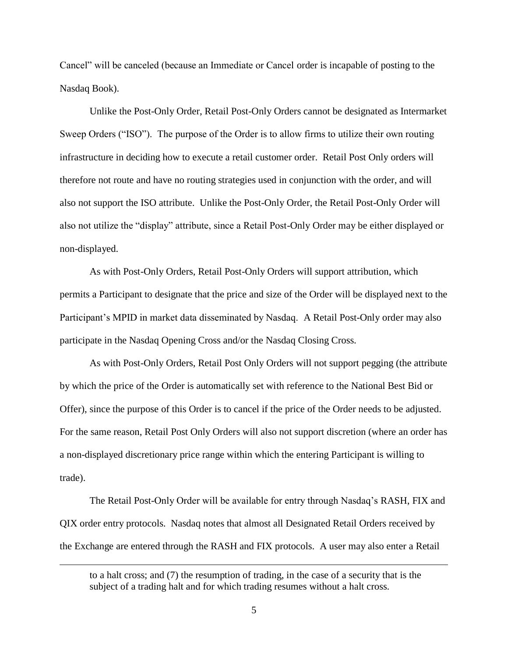Cancel" will be canceled (because an Immediate or Cancel order is incapable of posting to the Nasdaq Book).

Unlike the Post-Only Order, Retail Post-Only Orders cannot be designated as Intermarket Sweep Orders ("ISO"). The purpose of the Order is to allow firms to utilize their own routing infrastructure in deciding how to execute a retail customer order. Retail Post Only orders will therefore not route and have no routing strategies used in conjunction with the order, and will also not support the ISO attribute. Unlike the Post-Only Order, the Retail Post-Only Order will also not utilize the "display" attribute, since a Retail Post-Only Order may be either displayed or non-displayed.

As with Post-Only Orders, Retail Post-Only Orders will support attribution, which permits a Participant to designate that the price and size of the Order will be displayed next to the Participant's MPID in market data disseminated by Nasdaq. A Retail Post-Only order may also participate in the Nasdaq Opening Cross and/or the Nasdaq Closing Cross.

As with Post-Only Orders, Retail Post Only Orders will not support pegging (the attribute by which the price of the Order is automatically set with reference to the National Best Bid or Offer), since the purpose of this Order is to cancel if the price of the Order needs to be adjusted. For the same reason, Retail Post Only Orders will also not support discretion (where an order has a non-displayed discretionary price range within which the entering Participant is willing to trade).

The Retail Post-Only Order will be available for entry through Nasdaq's RASH, FIX and QIX order entry protocols. Nasdaq notes that almost all Designated Retail Orders received by the Exchange are entered through the RASH and FIX protocols. A user may also enter a Retail

 $\overline{a}$ 

to a halt cross; and (7) the resumption of trading, in the case of a security that is the subject of a trading halt and for which trading resumes without a halt cross.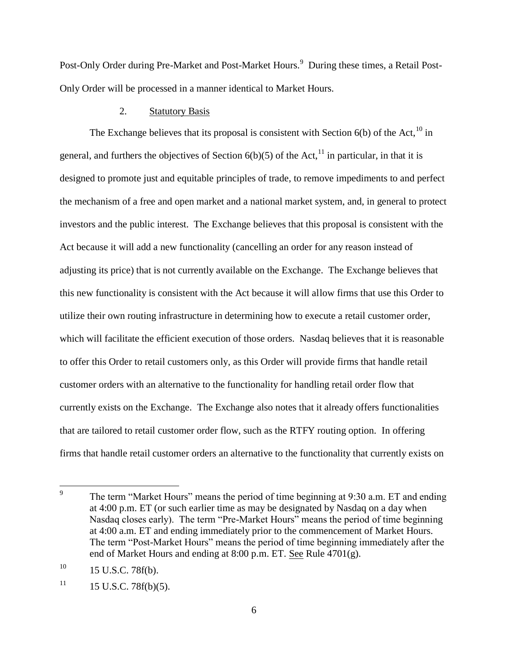Post-Only Order during Pre-Market and Post-Market Hours.<sup>9</sup> During these times, a Retail Post-Only Order will be processed in a manner identical to Market Hours.

### 2. Statutory Basis

The Exchange believes that its proposal is consistent with Section  $6(b)$  of the Act,<sup>10</sup> in general, and furthers the objectives of Section  $6(b)(5)$  of the Act,<sup>11</sup> in particular, in that it is designed to promote just and equitable principles of trade, to remove impediments to and perfect the mechanism of a free and open market and a national market system, and, in general to protect investors and the public interest. The Exchange believes that this proposal is consistent with the Act because it will add a new functionality (cancelling an order for any reason instead of adjusting its price) that is not currently available on the Exchange. The Exchange believes that this new functionality is consistent with the Act because it will allow firms that use this Order to utilize their own routing infrastructure in determining how to execute a retail customer order, which will facilitate the efficient execution of those orders. Nasdaq believes that it is reasonable to offer this Order to retail customers only, as this Order will provide firms that handle retail customer orders with an alternative to the functionality for handling retail order flow that currently exists on the Exchange. The Exchange also notes that it already offers functionalities that are tailored to retail customer order flow, such as the RTFY routing option. In offering firms that handle retail customer orders an alternative to the functionality that currently exists on

<sup>—&</sup>lt;br>9 The term "Market Hours" means the period of time beginning at 9:30 a.m. ET and ending at 4:00 p.m. ET (or such earlier time as may be designated by Nasdaq on a day when Nasdaq closes early). The term "Pre-Market Hours" means the period of time beginning at 4:00 a.m. ET and ending immediately prior to the commencement of Market Hours. The term "Post-Market Hours" means the period of time beginning immediately after the end of Market Hours and ending at 8:00 p.m. ET. See Rule 4701(g).

 $10$  15 U.S.C. 78f(b).

 $11$  15 U.S.C. 78f(b)(5).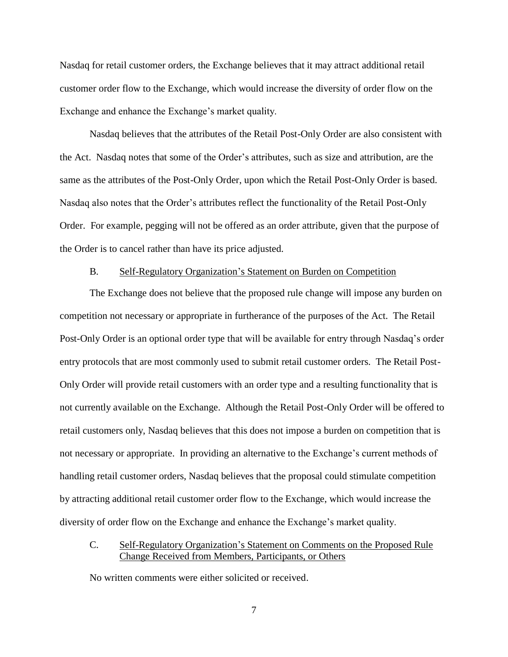Nasdaq for retail customer orders, the Exchange believes that it may attract additional retail customer order flow to the Exchange, which would increase the diversity of order flow on the Exchange and enhance the Exchange's market quality.

Nasdaq believes that the attributes of the Retail Post-Only Order are also consistent with the Act. Nasdaq notes that some of the Order's attributes, such as size and attribution, are the same as the attributes of the Post-Only Order, upon which the Retail Post-Only Order is based. Nasdaq also notes that the Order's attributes reflect the functionality of the Retail Post-Only Order. For example, pegging will not be offered as an order attribute, given that the purpose of the Order is to cancel rather than have its price adjusted.

## B. Self-Regulatory Organization's Statement on Burden on Competition

The Exchange does not believe that the proposed rule change will impose any burden on competition not necessary or appropriate in furtherance of the purposes of the Act. The Retail Post-Only Order is an optional order type that will be available for entry through Nasdaq's order entry protocols that are most commonly used to submit retail customer orders. The Retail Post-Only Order will provide retail customers with an order type and a resulting functionality that is not currently available on the Exchange. Although the Retail Post-Only Order will be offered to retail customers only, Nasdaq believes that this does not impose a burden on competition that is not necessary or appropriate. In providing an alternative to the Exchange's current methods of handling retail customer orders, Nasdaq believes that the proposal could stimulate competition by attracting additional retail customer order flow to the Exchange, which would increase the diversity of order flow on the Exchange and enhance the Exchange's market quality.

C. Self-Regulatory Organization's Statement on Comments on the Proposed Rule Change Received from Members, Participants, or Others

No written comments were either solicited or received.

7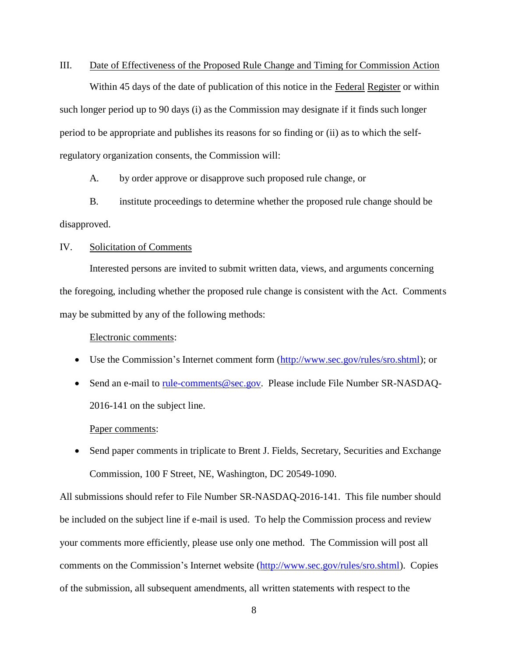#### III. Date of Effectiveness of the Proposed Rule Change and Timing for Commission Action

Within 45 days of the date of publication of this notice in the Federal Register or within such longer period up to 90 days (i) as the Commission may designate if it finds such longer period to be appropriate and publishes its reasons for so finding or (ii) as to which the selfregulatory organization consents, the Commission will:

A. by order approve or disapprove such proposed rule change, or

B. institute proceedings to determine whether the proposed rule change should be disapproved.

#### IV. Solicitation of Comments

Interested persons are invited to submit written data, views, and arguments concerning the foregoing, including whether the proposed rule change is consistent with the Act. Comments may be submitted by any of the following methods:

#### Electronic comments:

- Use the Commission's Internet comment form (http://www.sec.gov/rules/sro.shtml); or
- Send an e-mail to rule-comments@sec.gov. Please include File Number SR-NASDAQ-2016-141 on the subject line.

#### Paper comments:

• Send paper comments in triplicate to Brent J. Fields, Secretary, Securities and Exchange Commission, 100 F Street, NE, Washington, DC 20549-1090.

All submissions should refer to File Number SR-NASDAQ-2016-141. This file number should be included on the subject line if e-mail is used. To help the Commission process and review your comments more efficiently, please use only one method. The Commission will post all comments on the Commission's Internet website (http://www.sec.gov/rules/sro.shtml). Copies of the submission, all subsequent amendments, all written statements with respect to the